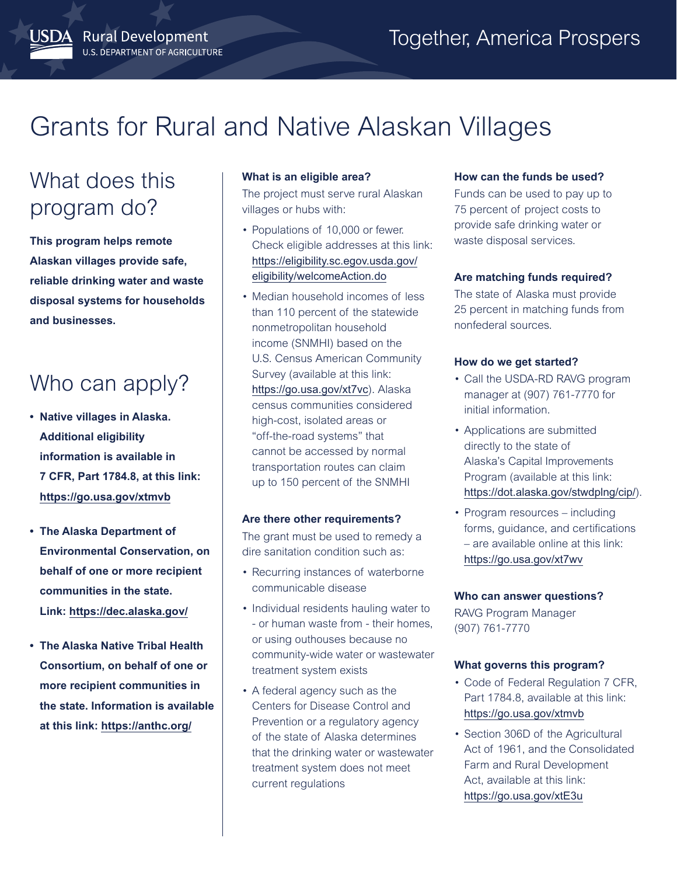# Grants for Rural and Native Alaskan Villages

## What does this program do?

JSDA Rural Development

U.S. DEPARTMENT OF AGRICULTURE

**This program helps remote Alaskan villages provide safe, reliable drinking water and waste disposal systems for households and businesses.**

### Who can apply?

- **• Native villages in Alaska. Additional eligibility information is available in 7 CFR, Part 1784.8, at this link: <https://go.usa.gov/xtmvb>**
- **• The Alaska Department of Environmental Conservation, on behalf of one or more recipient communities in the state. Link: <https://dec.alaska.gov/>**
- **• The Alaska Native Tribal Health Consortium, on behalf of one or more recipient communities in the state. Information is available at this link: <https://anthc.org/>**

#### **What is an eligible area?**

The project must serve rural Alaskan villages or hubs with:

- Populations of 10,000 or fewer. Check eligible addresses at this link: [https://eligibility.sc.egov.usda.gov/](https://eligibility.sc.egov.usda.gov/eligibility/welcomeAction.do) [eligibility/welcomeAction.do](https://eligibility.sc.egov.usda.gov/eligibility/welcomeAction.do)
- Median household incomes of less than 110 percent of the statewide nonmetropolitan household income (SNMHI) based on the U.S. Census American Community Survey (available at this link: <https://go.usa.gov/xt7vc>). Alaska census communities considered high-cost, isolated areas or "off-the-road systems" that cannot be accessed by normal transportation routes can claim up to 150 percent of the SNMHI

#### **Are there other requirements?**

The grant must be used to remedy a dire sanitation condition such as:

- Recurring instances of waterborne communicable disease
- Individual residents hauling water to - or human waste from - their homes, or using outhouses because no community-wide water or wastewater treatment system exists
- A federal agency such as the Centers for Disease Control and Prevention or a regulatory agency of the state of Alaska determines that the drinking water or wastewater treatment system does not meet current regulations

#### **How can the funds be used?**

Funds can be used to pay up to 75 percent of project costs to provide safe drinking water or waste disposal services.

#### **Are matching funds required?**

The state of Alaska must provide 25 percent in matching funds from nonfederal sources.

#### **How do we get started?**

- Call the USDA-RD RAVG program manager at (907) 761-7770 for initial information.
- Applications are submitted directly to the state of Alaska's Capital Improvements Program (available at this link: <https://dot.alaska.gov/stwdplng/cip/>).
- Program resources including forms, guidance, and certifications – are available online at this link: <https://go.usa.gov/xt7wv>

#### **Who can answer questions?**

RAVG Program Manager (907) 761-7770

#### **What governs this program?**

- Code of Federal Regulation 7 CFR, Part 1784.8, available at this link: <https://go.usa.gov/xtmvb>
- Section 306D of the Agricultural Act of 1961, and the Consolidated Farm and Rural Development Act, available at this link: <https://go.usa.gov/xtE3u>